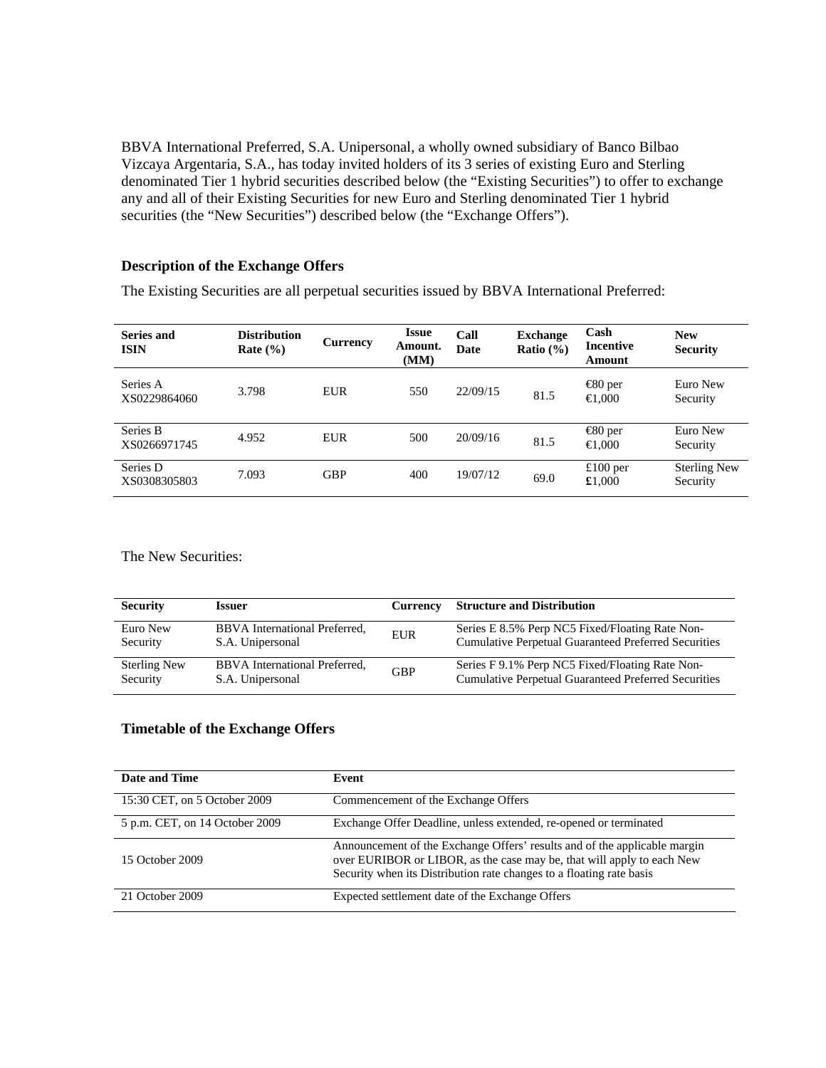BBVA International Preferred, S.A. Unipersonal, a wholly owned subsidiary of Banco Bilbao Vizcaya Argentaria, S.A., has today invited holders of its 3 series of existing Euro and Sterling denominated Tier 1 hybrid securities described below (the "Existing Securities") to offer to exchange any and all of their Existing Securities for new Euro and Sterling denominated Tier 1 hybrid securities (the "New Securities") described below (the "Exchange Offers").

## **Description of the Exchange Offers**

The Existing Securities are all perpetual securities issued by BBVA International Preferred:

| Series and<br><b>ISIN</b> | <b>Distribution</b><br>Rate $(\% )$ | Currency   | <b>Issue</b><br>Amount.<br>(MM) | Call<br><b>Date</b> | <b>Exchange</b><br>Ratio $(\% )$ | Cash<br>Incentive<br>Amount           | <b>New</b><br><b>Security</b>   |
|---------------------------|-------------------------------------|------------|---------------------------------|---------------------|----------------------------------|---------------------------------------|---------------------------------|
| Series A<br>XS0229864060  | 3.798                               | EUR        | 550                             | 22/09/15            | 81.5                             | $\bigoplus$ 0 per<br>$\Theta$ ,000    | Euro New<br>Security            |
| Series B<br>XS0266971745  | 4.952                               | EUR        | 500                             | 20/09/16            | 81.5                             | $\bigoplus$ 0 per<br>$\bigoplus$ ,000 | Euro New<br>Security            |
| Series D<br>XS0308305803  | 7.093                               | <b>GBP</b> | 400                             | 19/07/12            | 69.0                             | £100 per<br>£1,000                    | <b>Sterling New</b><br>Security |

The New Securities:

| <b>Security</b>     | Issuer                        | Currency   | <b>Structure and Distribution</b>                           |
|---------------------|-------------------------------|------------|-------------------------------------------------------------|
| Euro New            | BBVA International Preferred, | EUR        | Series E 8.5% Perp NC5 Fixed/Floating Rate Non-             |
| Security            | S.A. Unipersonal              |            | <b>Cumulative Perpetual Guaranteed Preferred Securities</b> |
| <b>Sterling New</b> | BBVA International Preferred, | <b>GBP</b> | Series F 9.1% Perp NC5 Fixed/Floating Rate Non-             |
| Security            | S.A. Unipersonal              |            | <b>Cumulative Perpetual Guaranteed Preferred Securities</b> |

## **Timetable of the Exchange Offers**

| Date and Time                  | Event                                                                                                                                                                                                                       |
|--------------------------------|-----------------------------------------------------------------------------------------------------------------------------------------------------------------------------------------------------------------------------|
| 15:30 CET, on 5 October 2009   | Commencement of the Exchange Offers                                                                                                                                                                                         |
| 5 p.m. CET, on 14 October 2009 | Exchange Offer Deadline, unless extended, re-opened or terminated                                                                                                                                                           |
| 15 October 2009                | Announcement of the Exchange Offers' results and of the applicable margin<br>over EURIBOR or LIBOR, as the case may be, that will apply to each New<br>Security when its Distribution rate changes to a floating rate basis |
| 21 October 2009                | Expected settlement date of the Exchange Offers                                                                                                                                                                             |